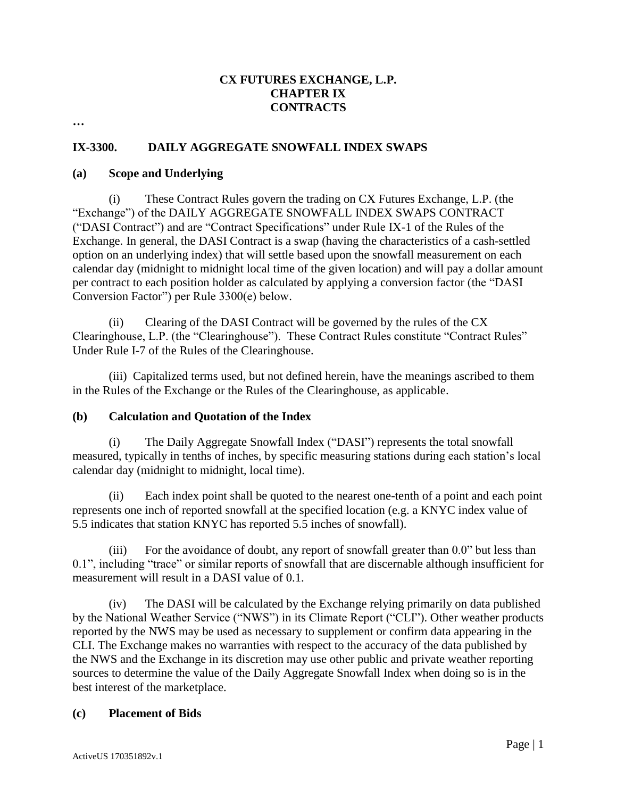## **CX FUTURES EXCHANGE, L.P. CHAPTER IX CONTRACTS**

**…** 

## **IX-3300. DAILY AGGREGATE SNOWFALL INDEX SWAPS**

#### **(a) Scope and Underlying**

(i) These Contract Rules govern the trading on CX Futures Exchange, L.P. (the "Exchange") of the DAILY AGGREGATE SNOWFALL INDEX SWAPS CONTRACT ("DASI Contract") and are "Contract Specifications" under Rule IX-1 of the Rules of the Exchange. In general, the DASI Contract is a swap (having the characteristics of a cash-settled option on an underlying index) that will settle based upon the snowfall measurement on each calendar day (midnight to midnight local time of the given location) and will pay a dollar amount per contract to each position holder as calculated by applying a conversion factor (the "DASI Conversion Factor") per Rule 3300(e) below.

(ii) Clearing of the DASI Contract will be governed by the rules of the CX Clearinghouse, L.P. (the "Clearinghouse"). These Contract Rules constitute "Contract Rules" Under Rule I-7 of the Rules of the Clearinghouse.

(iii) Capitalized terms used, but not defined herein, have the meanings ascribed to them in the Rules of the Exchange or the Rules of the Clearinghouse, as applicable.

#### **(b) Calculation and Quotation of the Index**

(i) The Daily Aggregate Snowfall Index ("DASI") represents the total snowfall measured, typically in tenths of inches, by specific measuring stations during each station's local calendar day (midnight to midnight, local time).

(ii) Each index point shall be quoted to the nearest one-tenth of a point and each point represents one inch of reported snowfall at the specified location (e.g. a KNYC index value of 5.5 indicates that station KNYC has reported 5.5 inches of snowfall).

For the avoidance of doubt, any report of snowfall greater than 0.0" but less than 0.1", including "trace" or similar reports of snowfall that are discernable although insufficient for measurement will result in a DASI value of 0.1.

(iv) The DASI will be calculated by the Exchange relying primarily on data published by the National Weather Service ("NWS") in its Climate Report ("CLI"). Other weather products reported by the NWS may be used as necessary to supplement or confirm data appearing in the CLI. The Exchange makes no warranties with respect to the accuracy of the data published by the NWS and the Exchange in its discretion may use other public and private weather reporting sources to determine the value of the Daily Aggregate Snowfall Index when doing so is in the best interest of the marketplace.

#### **(c) Placement of Bids**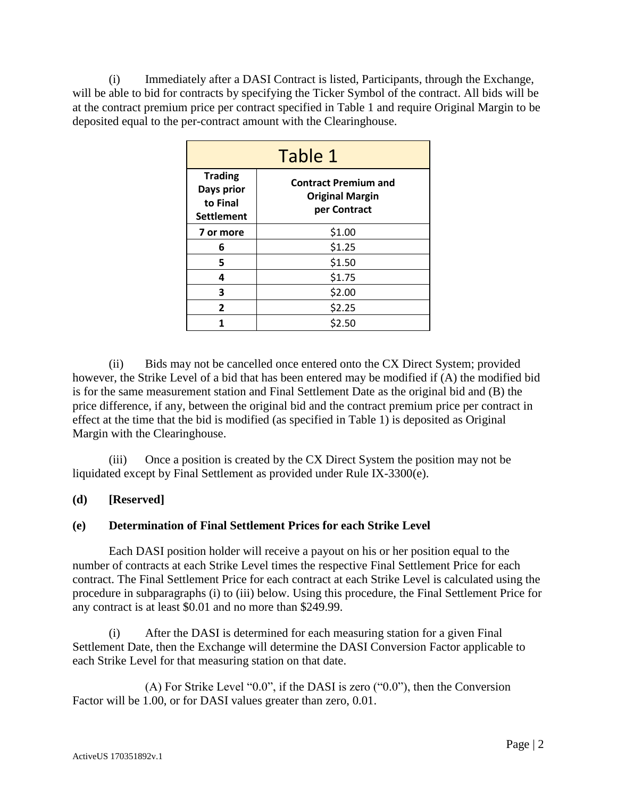(i) Immediately after a DASI Contract is listed, Participants, through the Exchange, will be able to bid for contracts by specifying the Ticker Symbol of the contract. All bids will be at the contract premium price per contract specified in Table 1 and require Original Margin to be deposited equal to the per-contract amount with the Clearinghouse.

| Table 1                                                       |                                                                       |  |
|---------------------------------------------------------------|-----------------------------------------------------------------------|--|
| <b>Trading</b><br>Days prior<br>to Final<br><b>Settlement</b> | <b>Contract Premium and</b><br><b>Original Margin</b><br>per Contract |  |
| 7 or more                                                     | \$1.00                                                                |  |
| 6                                                             | \$1.25                                                                |  |
| 5                                                             | \$1.50                                                                |  |
| 4                                                             | \$1.75                                                                |  |
| 3                                                             | \$2.00                                                                |  |
| 2                                                             | \$2.25                                                                |  |
|                                                               | \$2.50                                                                |  |

(ii) Bids may not be cancelled once entered onto the CX Direct System; provided however, the Strike Level of a bid that has been entered may be modified if (A) the modified bid is for the same measurement station and Final Settlement Date as the original bid and (B) the price difference, if any, between the original bid and the contract premium price per contract in effect at the time that the bid is modified (as specified in Table 1) is deposited as Original Margin with the Clearinghouse.

(iii) Once a position is created by the CX Direct System the position may not be liquidated except by Final Settlement as provided under Rule IX-3300(e).

## **(d) [Reserved]**

## **(e) Determination of Final Settlement Prices for each Strike Level**

Each DASI position holder will receive a payout on his or her position equal to the number of contracts at each Strike Level times the respective Final Settlement Price for each contract. The Final Settlement Price for each contract at each Strike Level is calculated using the procedure in subparagraphs (i) to (iii) below. Using this procedure, the Final Settlement Price for any contract is at least \$0.01 and no more than \$249.99.

(i) After the DASI is determined for each measuring station for a given Final Settlement Date, then the Exchange will determine the DASI Conversion Factor applicable to each Strike Level for that measuring station on that date.

(A) For Strike Level "0.0", if the DASI is zero ("0.0"), then the Conversion Factor will be 1.00, or for DASI values greater than zero, 0.01.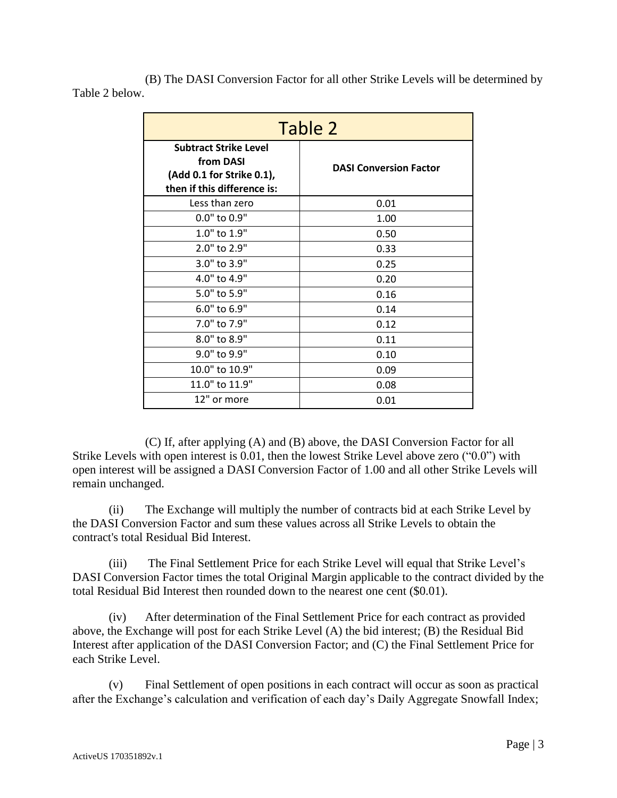(B) The DASI Conversion Factor for all other Strike Levels will be determined by Table 2 below.

| Table 2                                                                                               |                               |  |
|-------------------------------------------------------------------------------------------------------|-------------------------------|--|
| <b>Subtract Strike Level</b><br>from DASI<br>(Add 0.1 for Strike 0.1),<br>then if this difference is: | <b>DASI Conversion Factor</b> |  |
| Less than zero                                                                                        | 0.01                          |  |
| 0.0" to 0.9"                                                                                          | 1.00                          |  |
| 1.0" to 1.9"                                                                                          | 0.50                          |  |
| 2.0" to 2.9"                                                                                          | 0.33                          |  |
| 3.0" to 3.9"                                                                                          | 0.25                          |  |
| 4.0" to 4.9"                                                                                          | 0.20                          |  |
| 5.0" to 5.9"                                                                                          | 0.16                          |  |
| 6.0" to 6.9"                                                                                          | 0.14                          |  |
| 7.0" to 7.9"                                                                                          | 0.12                          |  |
| 8.0" to 8.9"                                                                                          | 0.11                          |  |
| 9.0" to 9.9"                                                                                          | 0.10                          |  |
| 10.0" to 10.9"                                                                                        | 0.09                          |  |
| 11.0" to 11.9"                                                                                        | 0.08                          |  |
| 12" or more                                                                                           | 0.01                          |  |

(C) If, after applying (A) and (B) above, the DASI Conversion Factor for all Strike Levels with open interest is 0.01, then the lowest Strike Level above zero ("0.0") with open interest will be assigned a DASI Conversion Factor of 1.00 and all other Strike Levels will remain unchanged.

(ii) The Exchange will multiply the number of contracts bid at each Strike Level by the DASI Conversion Factor and sum these values across all Strike Levels to obtain the contract's total Residual Bid Interest.

(iii) The Final Settlement Price for each Strike Level will equal that Strike Level's DASI Conversion Factor times the total Original Margin applicable to the contract divided by the total Residual Bid Interest then rounded down to the nearest one cent (\$0.01).

(iv) After determination of the Final Settlement Price for each contract as provided above, the Exchange will post for each Strike Level (A) the bid interest; (B) the Residual Bid Interest after application of the DASI Conversion Factor; and (C) the Final Settlement Price for each Strike Level.

(v) Final Settlement of open positions in each contract will occur as soon as practical after the Exchange's calculation and verification of each day's Daily Aggregate Snowfall Index;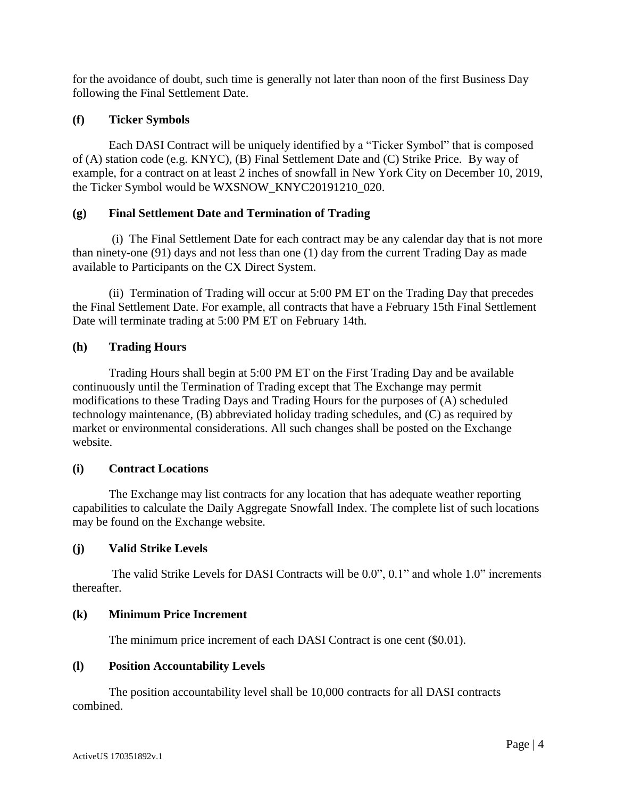for the avoidance of doubt, such time is generally not later than noon of the first Business Day following the Final Settlement Date.

## **(f) Ticker Symbols**

Each DASI Contract will be uniquely identified by a "Ticker Symbol" that is composed of (A) station code (e.g. KNYC), (B) Final Settlement Date and (C) Strike Price. By way of example, for a contract on at least 2 inches of snowfall in New York City on December 10, 2019, the Ticker Symbol would be WXSNOW\_KNYC20191210\_020.

## **(g) Final Settlement Date and Termination of Trading**

(i) The Final Settlement Date for each contract may be any calendar day that is not more than ninety-one (91) days and not less than one (1) day from the current Trading Day as made available to Participants on the CX Direct System.

(ii) Termination of Trading will occur at 5:00 PM ET on the Trading Day that precedes the Final Settlement Date. For example, all contracts that have a February 15th Final Settlement Date will terminate trading at 5:00 PM ET on February 14th.

## **(h) Trading Hours**

Trading Hours shall begin at 5:00 PM ET on the First Trading Day and be available continuously until the Termination of Trading except that The Exchange may permit modifications to these Trading Days and Trading Hours for the purposes of (A) scheduled technology maintenance, (B) abbreviated holiday trading schedules, and (C) as required by market or environmental considerations. All such changes shall be posted on the Exchange website.

## **(i) Contract Locations**

The Exchange may list contracts for any location that has adequate weather reporting capabilities to calculate the Daily Aggregate Snowfall Index. The complete list of such locations may be found on the Exchange website.

## **(j) Valid Strike Levels**

The valid Strike Levels for DASI Contracts will be 0.0", 0.1" and whole 1.0" increments thereafter.

## **(k) Minimum Price Increment**

The minimum price increment of each DASI Contract is one cent (\$0.01).

# **(l) Position Accountability Levels**

The position accountability level shall be 10,000 contracts for all DASI contracts combined.